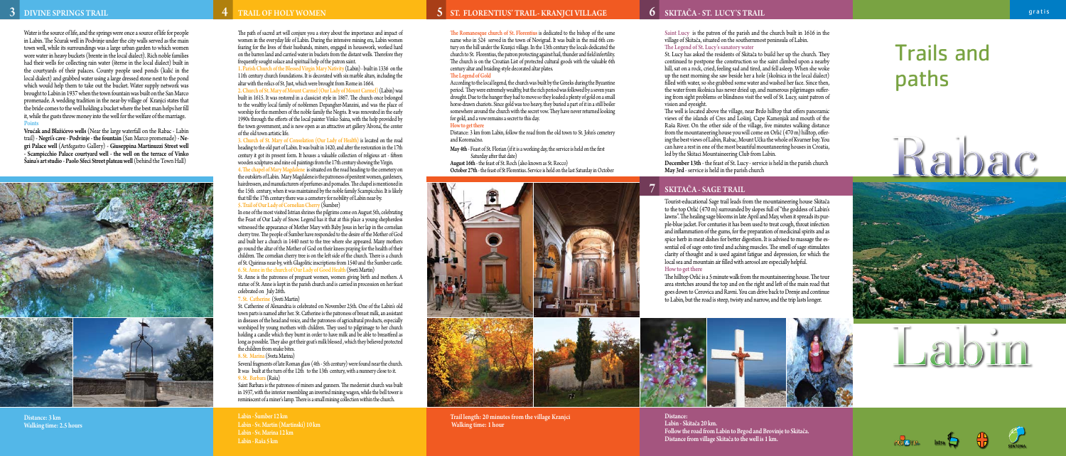## 4

### SKITAČA - SAGE TRAIL

# Trails and paths

# Rabac











Saint Lucy is the patron of the parish and the church built in 1616 in the village of Skitača, situated on the southernmost peninsula of Labin. The Legend of St. Lucy's sanatory water

St. Lucy has asked the residents of Skitača to build her up the church. They continued to postpone the construction so the saint climbed upon a nearby hill, sat on a rock, cried, feeling sad and tired, and fell asleep. When she woke up the next morning she saw beside her a hole (školnica in the local dialect) filled with water, so she grabbed some water and washed her face. Since then, the water from školnica has never dried up, and numerous pilgrimages suffer ing from sight problems or blindness visit the well of St. Lucy, saint patron of vision and eyesight.

The well is located above the village, near Brdo hilltop that offers panoramic views of the islands of Cres and Lošinj, Cape Kamenjak and mouth of the Raša River. On the other side of the village, five minutes walking distance from the mountaneering house you will come on Orlić (470 m) hilltop, offer ing the best views of Labin, Rabac, Mount Učka the whole of Kvarner bay. You can have a rest in one of the most beautiful mountaneering houses in Croatia, led by the Skitaci Mountaineering Club from Labin.

December 13th - the feast of St. Lucy - service is held in the parish church May 3rd - service is held in the parish church

Tourist-educational Sage trail leads from the mountaineering house Skitača to the top Orlić (470 m) surrounded by slopes full of "the goddess of Labin's lawns". The healing sage blooms in late April and May, when it spreads its pur ple-blue jacket. For centuries it has been used to treat cough, throat infection and inflammation of the gums, for the preparation of medicinal spirits and as spice herb in meat dishes for better digestion. It is advised to massage the es sential oil of sage onto tired and aching muscles. The smell of sage stimulates clarity of thought and is used against fatigue and depression, for which the local sea and mountain air filled with aerosol are especially helpful.

#### How to get there

The hilltop Orlić is a 5 minute walk from the mountaineering house. The tour area stretches around the top and on the right and left of the main road that goes down to Cerovica and Ravni. You can drive back to Drenje and continue to Labin, but the road is steep, twisty and narrow, and the trip lasts longer.



Distance: Labin - Skitača 20 km. Follow the road from Labin to Brgod and Brovinje to Skitača. Distance from village Skitača to the well is 1 km.

The path of sacred art will conjure you a story about the importance and impact of women in the everyday life of Labin. During the intensive mining era, Labin women fearing for the lives of their husbands, miners, engaged in housework, worked hard on the barren land and carried water in buckets from the distant wells. Therefore they frequently sought solace and spiritual help of the patron saint.

1. Parish Church of the Blessed Virgin Mary Nativity (Labin) - built in 1336 on the 11th century church foundations. It is decorated with six marble altars, including the altar with the relics of St. Just, which were brought from Rome in 1664.

2. Church of St. Mary of Mount Carmel (Our Lady of Mount Carmel) (Labin) was built in 1615. It was restored in a classicist style in 1867. The church once belonged to the wealthy local family of noblemen Depangher-Manzini, and was the place of worship for the members of the noble family the Negris. It was renovated in the early 1990s through the efforts of the local painter Vinko Šaina, with the help provided by the town government, and is now open as an attractive art gallery 'Alvona', the center of the old town artistic life.

3. Church of St. Mary of Consolation (Our Lady of Health) is located on the road heading to the old part of Labin. It was built in 1420, and after the restoration in the 17th century it got its present form. It houses a valuable collection of religious art - fifteen wooden sculptures and nine oil paintings from the 17th century showing the Virgin. 4. The chapel of Mary Magdalene is situated on the road heading to the cemetery on

the outskirts of Labin. Mary Magdalene is the patroness of penitent women, gardeners, hairdressers, and manufacturers of perfumes and pomades. The chapel is mentioned in the 15th century, when it was maintained by the noble family Scampicchio. It is likely that till the 17th century there was a cemetery for nobility of Labin near-by. 5. Trail of Our Lady of Cornelian Cherry (Šumber)

In one of the most visited Istrian shrines the pilgrims come on August 5th, celebrating the Feast of Our Lady of Snow. Legend has it that at this place a young shepherdess witnessed the appearance of Mother Mary with Baby Jesus in her lap in the cornelian cherry tree. The people of Šumber have responded to the desire of the Mother of God and built her a church in 1440 next to the tree where she appeared. Many mothers go round the altar of the Mother of God on their knees praying for the health of their children. The cornelian cherry tree is on the left side of the church. There is a church of St. Quirinus near-by, with Glagolitic inscriptions from 1540 and the Šumber castle. 6. St. Anne in the church of Our Lady of Good Health (Sveti Martin)

St. Anne is the patroness of pregnant women, women giving birth and mothers. A statue of St. Anne is kept in the parish church and is carried in procession on her feast celebrated on July 26th.

7. St. Catherine (Sveti Martin)

St. Catherine of Alexandria is celebrated on November 25th. One of the Labin's old town parts is named after her. St. Catherine is the patroness of breast milk, an assistant in diseases of the head and voice, and the patroness of agricultural products, especially worshiped by young mothers with children. They used to pilgrimage to her church holding a candle which they burnt in order to have milk and be able to breastfeed as long as possible. They also got their goat's milk blessed, which they believed protected the children from snake bites.

8. St. Marina (Sveta Marina)

Several fragments of late Roman glass (4th - 5th century) were found near the church. It was built at the turn of the 12th to the 13th century, with a nunnery close to it. 9. St. Barbara (Raša)

Saint Barbara is the patroness of miners and gunners. The modernist church was built in 1937, with the interior resembling an inverted mining wagon, while the bell tower is reminiscent of a miner's lamp. There is a small mining collection within the church.

Labin - Šumber 12 km Labin - Sv. Martin (Martinski) 10 km Labin - Sv. Marina 12 km Labin - Raša 5 km

### DIVINE SPRINGS TRAIL NEWSLEY'S TRAIL OF HOLY WOMEN ST. FLORENTIUS' TRAIL- KRANJCI VILLAGE SKITAČA - ST. LUCY'S TRAIL

The Romanesque church of St. Florentius is dedicated to the bishop of the same name who in 524 served in the town of Novigrad. It was built in the mid 6th cen tury on the hill under the Kranjci village. In the 13th century the locals dedicated the church to St. Florentius, the patron protecting against hail, thunder and field infertility. The church is on the Croatian List of protected cultural goods with the valuable 6th century altar and braiding-style decorated altar plates.

### The Legend of Gold

According to the local legend, the church was built by the Greeks during the Byzantine period. They were extremely wealthy, but the rich period was followed by a seven years drought. Due to the hunger they had to move so they loaded a plenty of gold on a small horse-drawn chariots. Since gold was too heavy, they buried a part of it in a still boiler somewhere around the church with the secret vow. They have never returned looking for gold, and a vow remains a secret to this day.

#### How to get there

Distance: 3 km from Labin, follow the road from the old town to St. John's cemetery and Koromačno.

May 4th - Feast of St. Florian (if it is a working day, the service is held on the first Saturday after that date)

August 16th - the feast of St. Roch (also known as St. Rocco) October 27th - the feast of St Florentius. Service is held on the last Saturday in October



Trail length: 20 minutes from the village Kranjci Walking time: 1 hour

Water is the source of life, and the springs were once a source of life for people in Labin. The Šćurak well in Podvinje under the city walls served as the main town well, while its surroundings was a large urban garden to which women wore water in heavy buckets (brente in the local dialect). Rich noble families had their wells for collecting rain water (šterne in the local dialect) built in the courtyards of their palaces. County people used ponds (kalić in the local dialect) and grabbed water using a large dressed stone next to the pond which would help them to take out the bucket. Water supply network was brought to Labin in 1937 when the town fountain was built on the San Marco promenade. A wedding tradition in the near-by village of Kranjci states that the bride comes to the well holding a bucket where the best man helps her fill it, while the gusts throw money into the well for the welfare of the marriage. Points

Vrućak and Blažićevo wells (Near the large waterfall on the Rabac - Labin trail) - Negri's cave - Podvinje - the fountain (San Marco promenade) - Ne gri Palace well (Art&gastro Gallery) - Giuseppina Martinuzzi Street well - Scampicchio Palace courtyard well - the well on the terrace of Vinko Šaina's art studio - Paolo Sfeci Street plateau well (behind the Town Hall)



Distance: 3 km Walking time: 2.5 hours